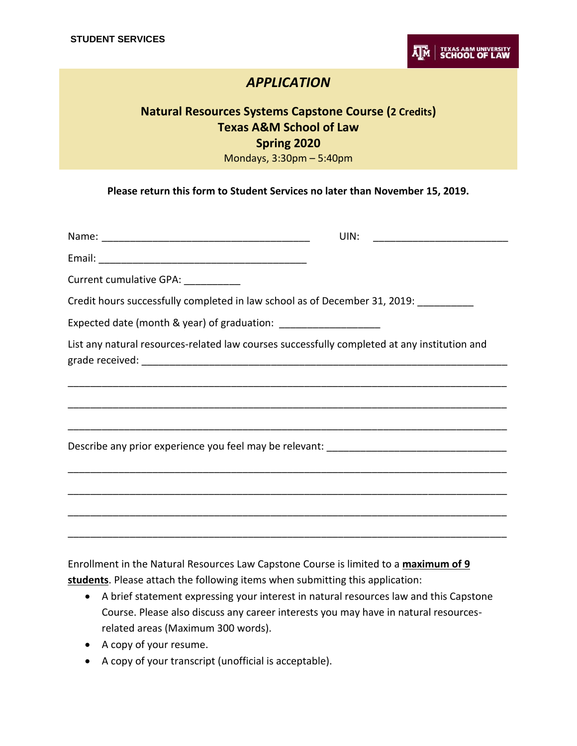

## *APPLICATION*

## **Natural Resources Systems Capstone Course (2 Credits) Texas A&M School of Law Spring 2020** Mondays, 3:30pm – 5:40pm

**Please return this form to Student Services no later than November 15, 2019.**

|                                                                                              | UIN: |
|----------------------------------------------------------------------------------------------|------|
|                                                                                              |      |
| Current cumulative GPA: ___________                                                          |      |
| Credit hours successfully completed in law school as of December 31, 2019: __________        |      |
| Expected date (month & year) of graduation: _______________________                          |      |
| List any natural resources-related law courses successfully completed at any institution and |      |
|                                                                                              |      |
|                                                                                              |      |
|                                                                                              |      |
|                                                                                              |      |
|                                                                                              |      |
|                                                                                              |      |
|                                                                                              |      |
|                                                                                              |      |
|                                                                                              |      |

Enrollment in the Natural Resources Law Capstone Course is limited to a **maximum of 9 students**. Please attach the following items when submitting this application:

- A brief statement expressing your interest in natural resources law and this Capstone Course. Please also discuss any career interests you may have in natural resourcesrelated areas (Maximum 300 words).
- A copy of your resume.
- A copy of your transcript (unofficial is acceptable).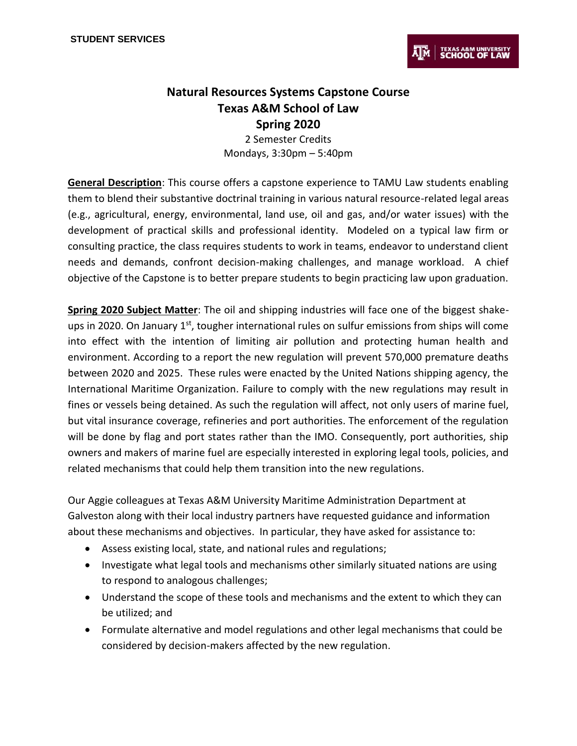

## **Natural Resources Systems Capstone Course Texas A&M School of Law Spring 2020**

2 Semester Credits Mondays, 3:30pm – 5:40pm

**General Description**: This course offers a capstone experience to TAMU Law students enabling them to blend their substantive doctrinal training in various natural resource-related legal areas (e.g., agricultural, energy, environmental, land use, oil and gas, and/or water issues) with the development of practical skills and professional identity. Modeled on a typical law firm or consulting practice, the class requires students to work in teams, endeavor to understand client needs and demands, confront decision-making challenges, and manage workload. A chief objective of the Capstone is to better prepare students to begin practicing law upon graduation.

**Spring 2020 Subject Matter**: The oil and shipping industries will face one of the biggest shakeups in 2020. On January 1<sup>st</sup>, tougher international rules on sulfur emissions from ships will come into effect with the intention of limiting air pollution and protecting human health and environment. According to a report the new regulation will prevent 570,000 premature deaths between 2020 and 2025. These rules were enacted by the United Nations shipping agency, the International Maritime Organization. Failure to comply with the new regulations may result in fines or vessels being detained. As such the regulation will affect, not only users of marine fuel, but vital insurance coverage, refineries and port authorities. The enforcement of the regulation will be done by flag and port states rather than the IMO. Consequently, port authorities, ship owners and makers of marine fuel are especially interested in exploring legal tools, policies, and related mechanisms that could help them transition into the new regulations.

Our Aggie colleagues at Texas A&M University Maritime Administration Department at Galveston along with their local industry partners have requested guidance and information about these mechanisms and objectives. In particular, they have asked for assistance to:

- Assess existing local, state, and national rules and regulations;
- Investigate what legal tools and mechanisms other similarly situated nations are using to respond to analogous challenges;
- Understand the scope of these tools and mechanisms and the extent to which they can be utilized; and
- Formulate alternative and model regulations and other legal mechanisms that could be considered by decision-makers affected by the new regulation.